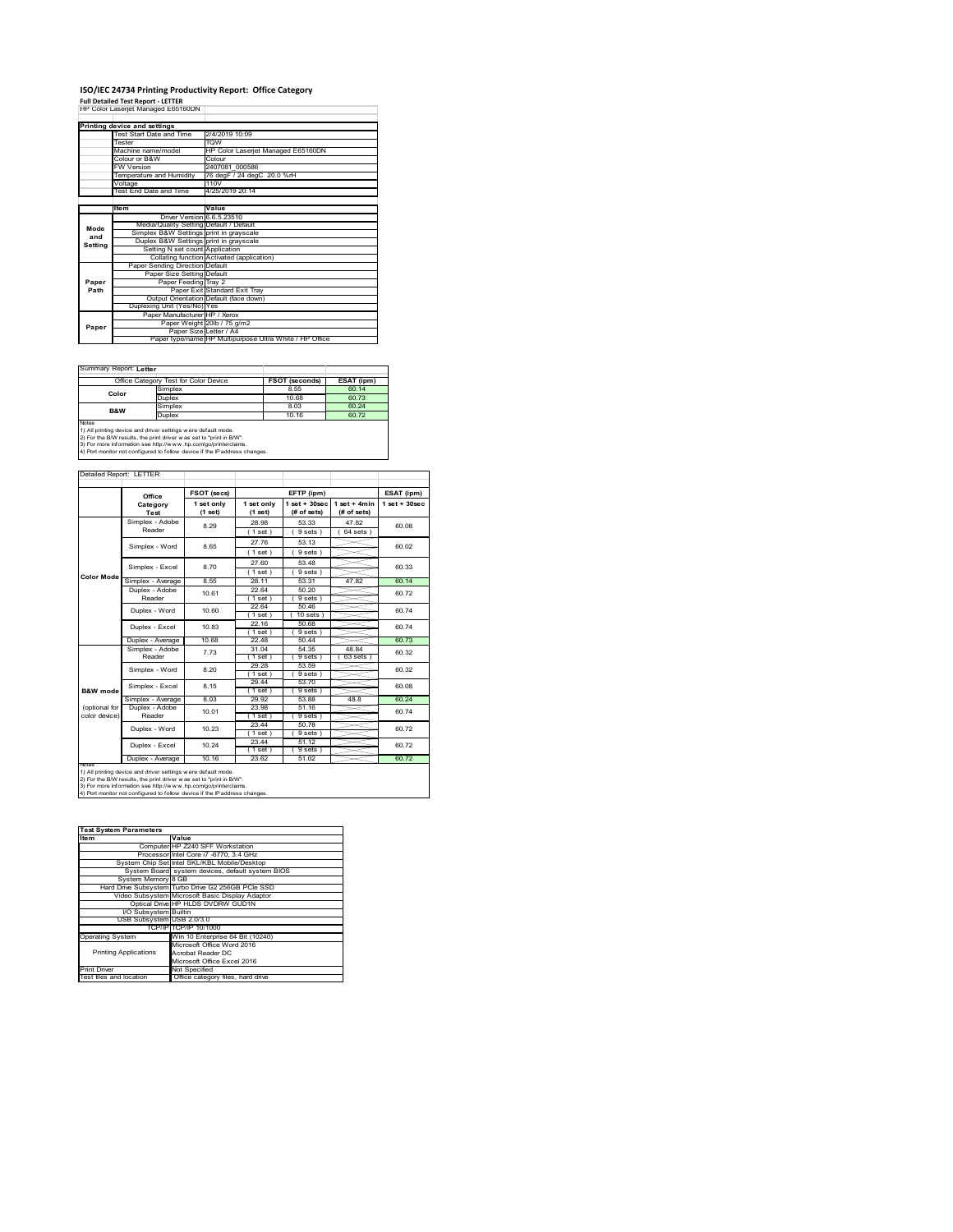## **ISO/IEC 24734 Printing Productivity Report: Office Category<br>Full Detailed Test Report - LETTER<br>HP Color Laserjet Managed E65160DN |**

**Printing device and settings<br>Test Start Date and Time 2/4/2019 10:09** Tester TQW Machine Machine name/model HP Color Laserjet Managed<br>B&W Colour Colour or B&W Colour FW Version 2407081\_000586 Temperature and Humidity 76 degF / 24 degC 20.0 %rH Voltage 110V .<br>2019 20:14 **Item Value** <u>0.5.23</u> Media/Quality Setting Default / Default grays n gray: ng N Collating function Activated (application) Paper Sending Direction Default Paper Size Setting Default ay 2 d Exit T Output Orientation Default (face down) Duplexing Unit (Yes/No) Yes Paper Manufacturer HP / Xerox Paper Weight 20lb / 75 g/m2 Paper Size Letter / A4 Paper type/name HP Multipurpose Ultra White / HP Office **Mode and Setting Paper Path Paper**

#### Summary Report: **Letter**

|                                                                | Office Category Test for Color Device | FSOT (seconds) | ESAT (ipm) |
|----------------------------------------------------------------|---------------------------------------|----------------|------------|
| Color                                                          | Simplex                               | 8.55           | 60.14      |
|                                                                | Duplex                                | 10.68          | 60.73      |
| <b>B&amp;W</b>                                                 | Simplex                               | 8.03           | 60 24      |
|                                                                | Duplex                                | 10.16          | 6072       |
| <b>Notes</b>                                                   |                                       |                |            |
| 1) All printing device and driver settings w ere default mode. |                                       |                |            |

1) All printing device and driver settings were default mode.<br>2) For the B.W results, the print driver was set to "print in B/W".<br>3) For more information see http://www.hp.com/go/printerclaims.<br>4) Port monitor not configur

|               | Office                    | FSOT (secs)           |                       | EFTP (ipm)                     |                               | ESAT (ipm)         |
|---------------|---------------------------|-----------------------|-----------------------|--------------------------------|-------------------------------|--------------------|
|               | Category<br>Test          | 1 set only<br>(1 set) | 1 set only<br>(1 set) | $1$ set + 30sec<br>(# of sets) | $1$ set + 4min<br>(# of sets) | $1$ set + $30$ sec |
|               | Simplex - Adobe           | 8.29                  | 28.98                 | 53.33                          | 47.82                         |                    |
|               | Reader                    |                       | (1 set)               | 9 sets)                        | $64$ sets $)$                 | 80.08              |
|               | Simplex - Word            | 8.65                  | 27.76                 | 53.13                          |                               | 60.02              |
|               |                           |                       | (1 set)               | 9 sets)                        |                               |                    |
|               | Simplex - Excel           | 8.70                  | 27.60                 | 53 48                          |                               | 60.33              |
| Color Mode    |                           |                       | (1 set)               | 9 sets)                        |                               |                    |
|               | Simplex - Average         | 8.55                  | 28 11                 | 53.31                          | 47.82                         | 60 14              |
|               | Duplex - Adobe            | 10.61                 | 22.64                 | 50 20                          |                               | 6072               |
|               | Reader                    |                       | (1 set)               | 9 sets)                        |                               |                    |
|               | Duplex - Word             | 10.60                 | 22.64                 | 5046                           |                               | 60 74              |
|               |                           |                       | (1 set)               | $10$ sets)                     |                               |                    |
|               | Duplex - Excel            | 1083                  | 22 16<br>(1 set)      | 50.68<br>9 sets)               |                               | 60 74              |
|               | Duplex - Average          | 10.68                 | 22.48                 | 50 44                          |                               | 60.73              |
|               | Simplex - Adobe<br>Reader | 773                   | 31.04                 | 54.35                          | 48.84                         | 60.32              |
|               |                           |                       | (1 set)               | 9 sets )                       | 63 sets                       |                    |
|               | Simplex - Word            | 8.20                  | 29 28                 | 53.59                          |                               | 60.32              |
|               |                           |                       | $1$ set $)$           | 9 sets                         |                               |                    |
|               | Simplex - Excel           | 8.15                  | 29.44                 | 53 70                          |                               | 60.08              |
| B&W mode      |                           |                       | (1 set)               | 9 sets                         |                               |                    |
|               | Simplex - Average         | 8.03                  | 29.92                 | 53.88                          | 48.8                          | 60.24              |
| (optional for | Duplex - Adobe            | 10.01                 | 23.98                 | 51.16                          |                               | 60.74              |
| color device) | Reader                    |                       | $1$ set $)$           | 9 sets)                        |                               |                    |
|               | Duplex - Word             | 10 23                 | 23.44                 | 50.78                          |                               | 6072               |
|               |                           |                       | (1 set)               | 9 sets)                        |                               |                    |
|               | Duplex - Excel            | 10.24                 | 23.44                 | 51.12<br>9 sets)               |                               | 6072               |
|               | Duplex - Average          | 10.16                 | (1 set)<br>23.62      | 51.02                          |                               | 60.72              |
| <b>NOTes</b>  |                           |                       |                       |                                |                               |                    |

| <b>Test System Parameters</b> |                                                    |  |  |
|-------------------------------|----------------------------------------------------|--|--|
| Item                          | Value                                              |  |  |
|                               | Computer HP Z240 SFF Workstation                   |  |  |
|                               | Processor Intel Core i7 -6770, 3.4 GHz             |  |  |
|                               | System Chip Set Intel SKL/KBL Mobile/Desktop       |  |  |
|                               | System Board system devices, default system BIOS   |  |  |
| System Memory 8 GB            |                                                    |  |  |
|                               | Hard Drive Subsystem Turbo Drive G2 256GB PCIe SSD |  |  |
|                               | Video Subsystem Microsoft Basic Display Adaptor    |  |  |
|                               | Optical Drive HP HLDS DVDRW GUD1N                  |  |  |
| I/O Subsystem Builtin         |                                                    |  |  |
| USB Subsystem USB 2.0/3.0     |                                                    |  |  |
|                               | TCP/IP TCP/IP 10/1000                              |  |  |
| <b>Operating System</b>       | Win 10 Enterprise 64 Bit (10240)                   |  |  |
|                               | Microsoft Office Word 2016                         |  |  |
| <b>Printing Applications</b>  | Acrobat Reader DC                                  |  |  |
|                               | Microsoft Office Excel 2016                        |  |  |
| <b>Print Driver</b>           | Not Specified                                      |  |  |
| Test files and location       | Office category files, hard drive                  |  |  |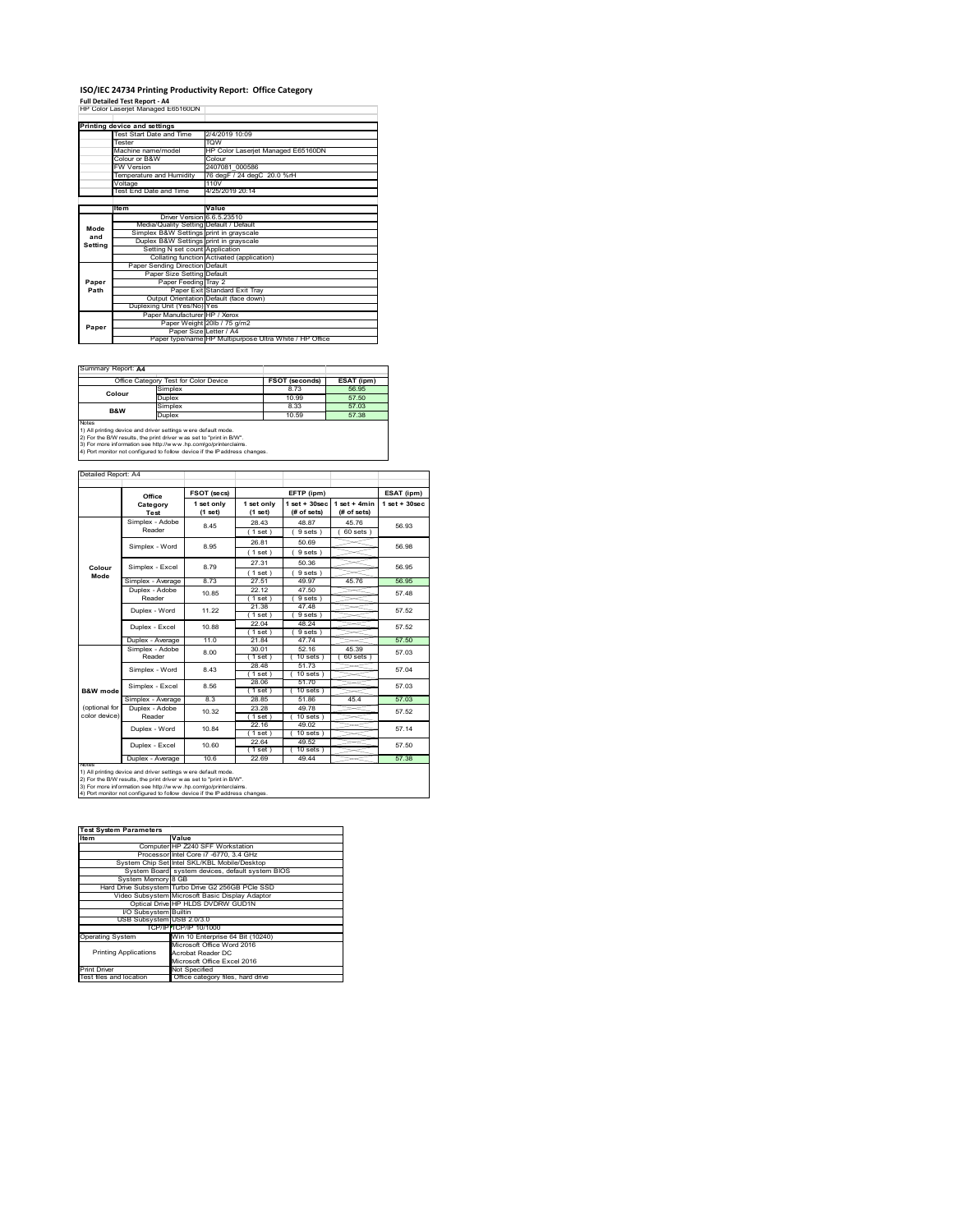# **ISO/IEC 24734 Printing Productivity Report: Office Category<br>Full Detailed Test Report - A4<br>HP Color Laserjet Managed E65160DN |**

|         | Printing device and settings            |                                                         |
|---------|-----------------------------------------|---------------------------------------------------------|
|         | Test Start Date and Time                | 2/4/2019 10:09                                          |
|         | Tester                                  | <b>TOW</b>                                              |
|         | Machine name/model                      | HP Color Laseriet Managed E65160DN                      |
|         | Colour or B&W                           | Colour                                                  |
|         | <b>FW Version</b>                       | 2407081 000586                                          |
|         | Temperature and Humidity                | 76 degF / 24 degC 20.0 %rH                              |
|         | Voltage                                 | 110V                                                    |
|         | Test End Date and Time                  | 4/25/2019 20:14                                         |
|         |                                         |                                                         |
|         | Item                                    | Value                                                   |
|         | Driver Version 6.6.5.23510              |                                                         |
| Mode    | Media/Quality Setting Default / Default |                                                         |
| and     | Simplex B&W Settings print in grayscale |                                                         |
| Setting | Duplex B&W Settings print in grayscale  |                                                         |
|         | Setting N set count Application         |                                                         |
|         |                                         | Collating function Activated (application)              |
|         | Paper Sending Direction Default         |                                                         |
|         | Paper Size Setting Default              |                                                         |
| Paper   | Paper Feeding Tray 2                    |                                                         |
| Path    |                                         | Paper Exit Standard Exit Tray                           |
|         |                                         | Output Orientation Default (face down)                  |
|         | Duplexing Unit (Yes/No) Yes             |                                                         |
|         | Paper Manufacturer HP / Xerox           |                                                         |
| Paper   |                                         | Paper Weight 20lb / 75 g/m2                             |
|         | Paper Size Letter / A4                  |                                                         |
|         |                                         | Paper type/name HP Multipurpose Ultra White / HP Office |

T.

#### Summary Report: **A4**

| Office Category Test for Color Device                                                                                                                                                                                                                                                           |               | <b>FSOT (seconds)</b> | ESAT (ipm) |
|-------------------------------------------------------------------------------------------------------------------------------------------------------------------------------------------------------------------------------------------------------------------------------------------------|---------------|-----------------------|------------|
| Colour                                                                                                                                                                                                                                                                                          | Simplex       | 8.73                  | 56.95      |
|                                                                                                                                                                                                                                                                                                 | <b>Duplex</b> | 10.99                 | 57.50      |
| <b>B&amp;W</b>                                                                                                                                                                                                                                                                                  | Simplex       | 8.33                  | 57.03      |
|                                                                                                                                                                                                                                                                                                 | <b>Duplex</b> | 10.59                 |            |
| Notes<br>1) All printing device and driver settings w ere default mode.<br>2) For the B/W results, the print driver was set to "print in B/W".<br>3) For more information see http://www.hp.com/go/printerclaims.<br>4) Port monitor not configured to follow device if the IP address changes. |               |                       |            |

|                | Office            | FSOT (secs)             |                         | EFTP (ipm)                        |                               | ESAT (ipm)        |
|----------------|-------------------|-------------------------|-------------------------|-----------------------------------|-------------------------------|-------------------|
|                | Category<br>Test  | 1 set only<br>$(1$ set) | 1 set only<br>$(1$ set) | $1$ set + $30$ sec<br>(# of sets) | $1$ set + 4min<br>(# of sets) | $1$ set $+30$ sec |
|                | Simplex - Adobe   | 845                     | 28 43                   | 48.87                             | 45 76                         | 56.93             |
|                | Reader            |                         | (1 set)                 | 9 sets)                           | $60$ sets $)$                 |                   |
|                | Simplex - Word    | 8.95                    | 26.81                   | 50.69                             |                               | 56.98             |
|                |                   |                         | (1 set)                 | 9 sets)                           |                               |                   |
|                | Simplex - Excel   | 8.79                    | 27.31                   | 50.36                             |                               | 56.95             |
| Colour<br>Mode |                   |                         | $1$ set)                | 9 sets)                           |                               |                   |
|                | Simplex - Average | 873                     | 27.51                   | 49.97                             | 45.76                         | 56.95             |
|                | Duplex - Adobe    | 1085                    | 22 12                   | 47.50                             |                               | 57 48             |
|                | Reader            |                         | $1$ set)                | 9 sets)                           |                               |                   |
|                | Duplex - Word     | 11 22                   | 21.38                   | 47.48                             |                               | 57.52             |
|                |                   |                         | (1 set)                 | 9 sets)                           |                               |                   |
|                | Duplex - Excel    | 10.88                   | 22.04<br>(1 set)        | 48.24<br>9 sets                   |                               | 57.52             |
|                | Duplex - Average  | 11.0                    | 21.84                   | 47 74                             |                               | 57.50             |
|                | Simplex - Adobe   |                         | 30.01                   | 52.16                             | 45.39                         |                   |
|                | Reader            | 8.00                    | $1$ set)                | $10$ sets $1$                     | 60 sets 1                     | 57 03             |
|                | Simplex - Word    | 843                     | 28.48                   | 51.73                             |                               | 57.04             |
|                |                   |                         | (1 set)                 | $10$ sets $)$                     |                               |                   |
|                | Simplex - Excel   | 8.56                    | 28.06                   | 51 70                             |                               | 57 03             |
| B&W mode       |                   |                         | $1$ set)                | $10$ sets $)$                     |                               |                   |
|                | Simplex - Average | 8.3                     | 28.85                   | 51.86                             | 45.4                          | 57.03             |
| (optional for  | Duplex - Adobe    | 10.32                   | 23.28                   | 49.78                             |                               | 57.52             |
| color device)  | Reader            |                         | 1 set)                  | $10$ sets $)$                     |                               |                   |
|                | Duplex - Word     | 1084                    | 22.16                   | 49.02                             |                               | 57 14             |
|                |                   |                         | (1 set)                 | $10$ sets $)$                     |                               |                   |
|                | Duplex - Excel    | 10.60                   | 22.64<br>$1$ set $)$    | 49.52<br>$10$ sets)               |                               | 57 50             |
|                | Duplex - Average  | 106                     | 22.69                   | 49.44                             |                               | 57.38             |

1) All printing device and driver settings were default mode.<br>2) For the B/W results, the print driver was set to "print in B/W".<br>3) For more information see http://www.hp.com/go/printerclaims.<br>4) Port monitor not configur

| <b>Test System Parameters</b> |                                                    |  |  |
|-------------------------------|----------------------------------------------------|--|--|
| Item                          | Value                                              |  |  |
|                               | Computer HP Z240 SFF Workstation                   |  |  |
|                               | Processor Intel Core i7 -6770, 3.4 GHz             |  |  |
|                               | System Chip Set Intel SKL/KBL Mobile/Desktop       |  |  |
|                               | System Board system devices, default system BIOS   |  |  |
| System Memory 8 GB            |                                                    |  |  |
|                               | Hard Drive Subsystem Turbo Drive G2 256GB PCIe SSD |  |  |
|                               | Video Subsystem Microsoft Basic Display Adaptor    |  |  |
|                               | Optical Drive HP HLDS DVDRW GUD1N                  |  |  |
| I/O Subsystem Builtin         |                                                    |  |  |
| USB Subsystem USB 2.0/3.0     |                                                    |  |  |
|                               | TCP/IP TCP/IP 10/1000                              |  |  |
| <b>Operating System</b>       | Win 10 Enterprise 64 Bit (10240)                   |  |  |
|                               | Microsoft Office Word 2016                         |  |  |
| <b>Printing Applications</b>  | Acrobat Reader DC                                  |  |  |
|                               | Microsoft Office Excel 2016                        |  |  |
| <b>Print Driver</b>           | Not Specified                                      |  |  |
| Test files and location       | Office category files, hard drive                  |  |  |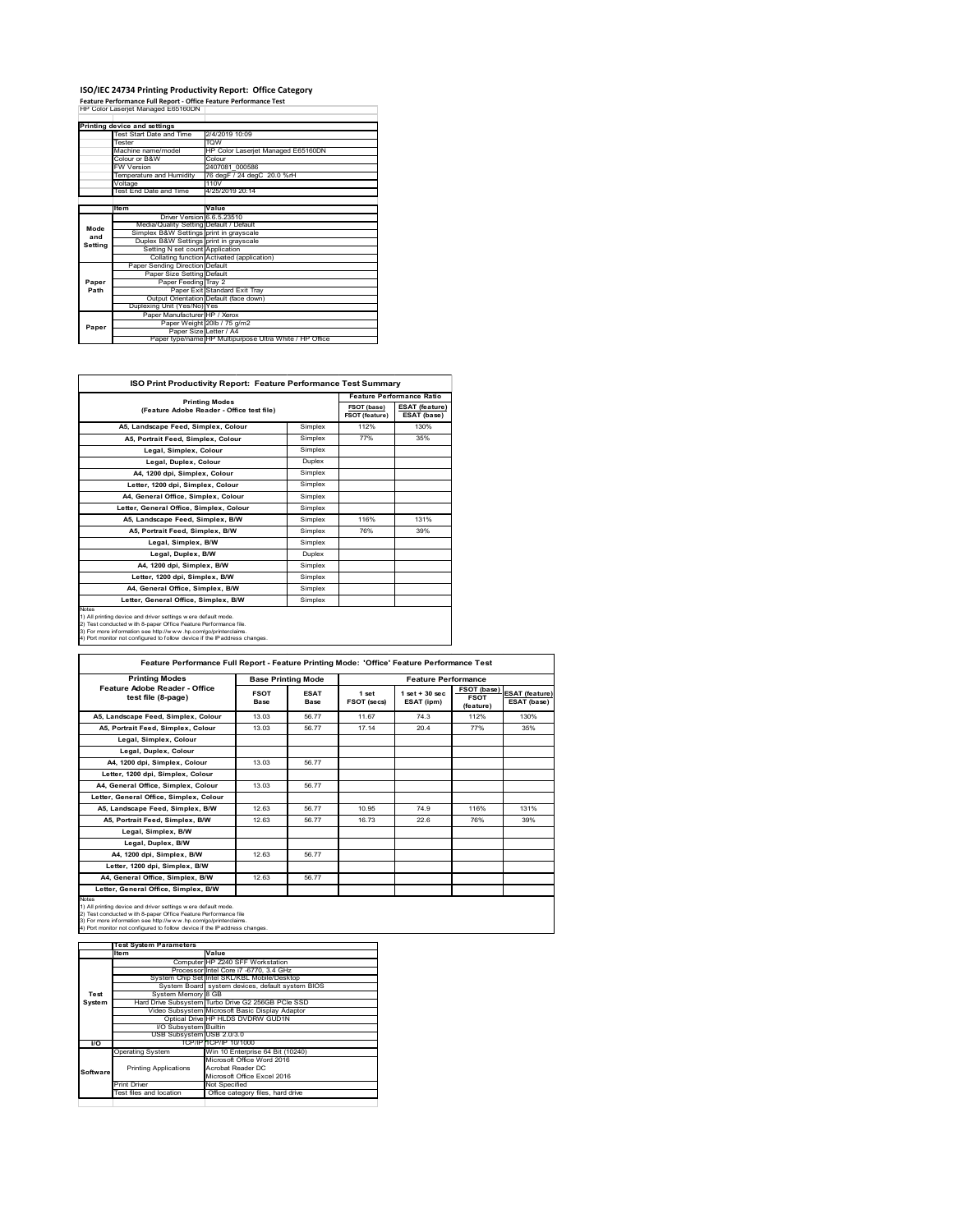### **ISO/IEC 24734 Printing Productivity Report: Office Category**

**Feature Performance Full Report ‐ Office Feature Performance Test** HP Color Laserjet Managed E65160DN

|         | Printing device and settings            |                                                         |
|---------|-----------------------------------------|---------------------------------------------------------|
|         | Test Start Date and Time                | 2/4/2019 10:09                                          |
|         | Tester                                  | <b>TOW</b>                                              |
|         | Machine name/model                      | HP Color Laserjet Managed E65160DN                      |
|         | Colour or B&W                           | Colour                                                  |
|         | <b>FW Version</b>                       | 2407081 000586                                          |
|         | Temperature and Humidity                | 76 degF / 24 degC 20.0 %rH                              |
|         | Voltage                                 | 110V                                                    |
|         | Test End Date and Time                  | 4/25/2019 20:14                                         |
|         |                                         |                                                         |
|         | Item                                    | Value                                                   |
|         | Driver Version 6.6.5.23510              |                                                         |
| Mode    | Media/Quality Setting Default / Default |                                                         |
| and     | Simplex B&W Settings print in grayscale |                                                         |
| Setting | Duplex B&W Settings print in grayscale  |                                                         |
|         | Setting N set count Application         |                                                         |
|         |                                         | Collating function Activated (application)              |
|         | Paper Sending Direction Default         |                                                         |
|         | Paper Size Setting Default              |                                                         |
| Paper   | Paper Feeding Tray 2                    |                                                         |
| Path    |                                         | Paper Exit Standard Exit Trav                           |
|         |                                         | Output Orientation Default (face down)                  |
|         | Duplexing Unit (Yes/No) Yes             |                                                         |
|         | Paper Manufacturer HP / Xerox           |                                                         |
| Paper   |                                         | Paper Weight 20lb / 75 g/m2                             |
|         | Paper Size Letter / A4                  |                                                         |
|         |                                         | Paper type/name HP Multipurpose Ultra White / HP Office |

 $\mathcal{L}^{\text{max}}_{\text{max}}$  , and  $\mathcal{L}^{\text{max}}_{\text{max}}$ 

| <b>ISO Print Productivity Report: Feature Performance Test Summary</b>                                                                                                                                                                                                                     |         |                               |                                      |  |
|--------------------------------------------------------------------------------------------------------------------------------------------------------------------------------------------------------------------------------------------------------------------------------------------|---------|-------------------------------|--------------------------------------|--|
| <b>Printing Modes</b><br>(Feature Adobe Reader - Office test file)                                                                                                                                                                                                                         |         |                               | <b>Feature Performance Ratio</b>     |  |
|                                                                                                                                                                                                                                                                                            |         | FSOT (base)<br>FSOT (feature) | <b>ESAT (feature)</b><br>ESAT (base) |  |
| A5. Landscape Feed, Simplex, Colour                                                                                                                                                                                                                                                        | Simplex | 112%                          | 130%                                 |  |
| A5. Portrait Feed. Simplex. Colour                                                                                                                                                                                                                                                         | Simplex | 77%                           | 35%                                  |  |
| Legal, Simplex, Colour                                                                                                                                                                                                                                                                     | Simplex |                               |                                      |  |
| Legal, Duplex, Colour                                                                                                                                                                                                                                                                      | Duplex  |                               |                                      |  |
| A4, 1200 dpi, Simplex, Colour                                                                                                                                                                                                                                                              | Simplex |                               |                                      |  |
| Letter, 1200 dpi, Simplex, Colour                                                                                                                                                                                                                                                          | Simplex |                               |                                      |  |
| A4, General Office, Simplex, Colour                                                                                                                                                                                                                                                        | Simplex |                               |                                      |  |
| Letter, General Office, Simplex, Colour                                                                                                                                                                                                                                                    | Simplex |                               |                                      |  |
| A5. Landscape Feed. Simplex. B/W                                                                                                                                                                                                                                                           | Simplex | 116%                          | 131%                                 |  |
| A5, Portrait Feed, Simplex, B/W                                                                                                                                                                                                                                                            | Simplex | 76%                           | 39%                                  |  |
| Legal, Simplex, B/W                                                                                                                                                                                                                                                                        | Simplex |                               |                                      |  |
| Legal, Duplex, B/W                                                                                                                                                                                                                                                                         | Duplex  |                               |                                      |  |
| A4, 1200 dpi, Simplex, B/W                                                                                                                                                                                                                                                                 | Simplex |                               |                                      |  |
| Letter, 1200 dpi, Simplex, B/W                                                                                                                                                                                                                                                             | Simplex |                               |                                      |  |
| A4. General Office. Simplex. B/W                                                                                                                                                                                                                                                           | Simplex |                               |                                      |  |
| Letter, General Office, Simplex, B/W                                                                                                                                                                                                                                                       | Simplex |                               |                                      |  |
| Notes<br>1) All printing device and driver settings were default mode.<br>2) Test conducted with 8-paper Office Feature Performance file.<br>3) For more information see http://www.hp.com/go/printerclaims.<br>4) Port monitor not configured to follow device if the IP address changes. |         |                               |                                      |  |

**FSOT Base ESAT Base 1 set FSOT (secs) 1 set + 30 sec ESAT (ipm) FSOT (base) FSOT (feature) ESAT (feature) ESAT (base) A5, Landscape Feed, Simplex, Colour** 13.03 56.77 11.67 74.3 112% 130% 130%<br>**A5, Portrait Feed, Simplex, Colour** 13.03 56.77 17.14 20.4 77% 35% **A5, Portrait Feed, Simplex, Colour** 13.03 56.77 17.14 20.4 77% 35% **Legal, Simplex, Colour** Legal, Duplex, Colou **A4, 1200 dpi, Simplex, Colour 13.03 56.77 Letter, 1200 dpi, Simplex, Colour A4, General Office, Simplex, Colour** 13.03 56.77 **Letter, General Office, Simplex, Colour A5, Landscape Feed, Simplex, B/W** 12.63 56.77 10.95 74.9 116% 131% **A5, Portrait Feed, Simplex, B/W** 12.63 56.77 16.73 22.6 76% 39% **Legal, Simplex, B/W Legal, Duplex, B/W A4, 1200 dpi, Simplex, B/W** 12.63 56.77 **Letter, 1200 dpi, Simplex, B/W A4, General Office, Simplex, B/W** 12.63 56.77 **Letter, General Office, Simplex, B/W** Notes<br>1) All printing device and driver settings were default mode.<br>2) Test conducted with 8-paper Office Feature Performance file<br>3) For more information see http://www..hp.com/go/printerclaims.<br>4) Port monitor not config **Feature Performance Full Report - Feature Printing Mode: 'Office' Feature Performance Test Printing Modes**<br> **Printing Mode Feature Performance**<br> **FEAT ESAT ESAT ESAT ESAT ESAT ESAT ESAT ESAT ESAT ESAT ESAT ESAT ESAT ESAT ESAT ESAT ESAT ESAT ESAT ESAT ESAT ESAT ESA** 

|          | <b>Test System Parameters</b> |                                                    |
|----------|-------------------------------|----------------------------------------------------|
|          | Item                          | Value                                              |
|          |                               | Computer HP Z240 SFF Workstation                   |
|          |                               | Processor Intel Core i7 -6770, 3.4 GHz             |
|          |                               | System Chip SetHntel SKL/KBL Mobile/Desktop        |
|          |                               | System Board system devices, default system BIOS   |
| Test     | System Memory 8 GB            |                                                    |
| System   |                               | Hard Drive Subsystem Turbo Drive G2 256GB PCle SSD |
|          |                               | Video Subsystem Microsoft Basic Display Adaptor    |
|          |                               | Optical Drive HP HLDS DVDRW GUD1N                  |
|          | I/O Subsystem Builtin         |                                                    |
|          | USB Subsystem USB 2.0/3.0     |                                                    |
| I/O      |                               | TCP/IPITCP/IP 10/1000                              |
|          | <b>Operating System</b>       | Win 10 Enterprise 64 Bit (10240)                   |
|          |                               | Microsoft Office Word 2016                         |
| Software | <b>Printing Applications</b>  | Acrobat Reader DC                                  |
|          |                               | Microsoft Office Excel 2016                        |
|          | <b>Print Driver</b>           | Not Specified                                      |
|          | Test files and location       | Office category files, hard drive                  |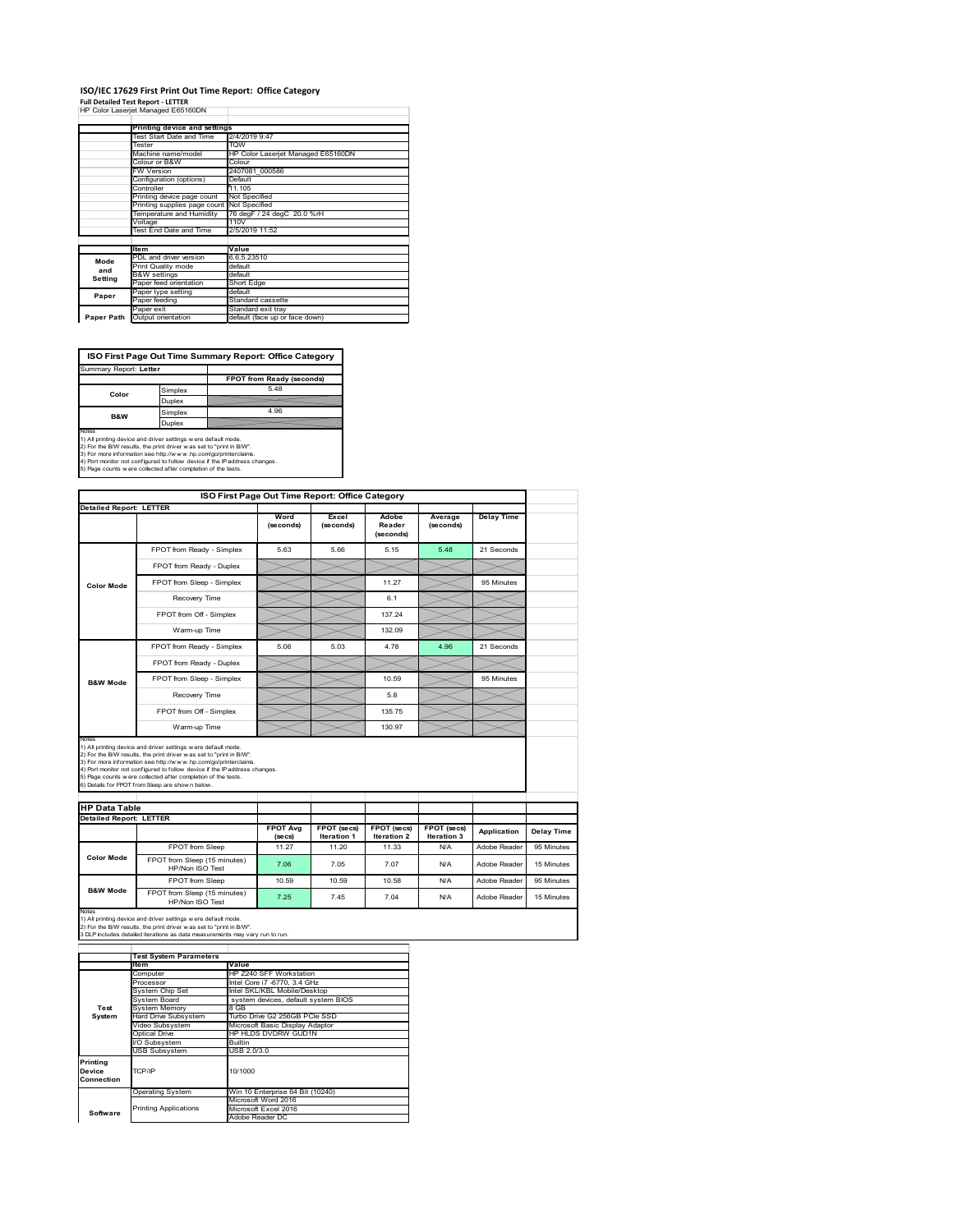#### **ISO/IEC 17629 First Print Out Time Report: Office Category Full Detailed Test Report ‐ LETTER**

|  |  | HP Color Laserjet Managed E65160DN |
|--|--|------------------------------------|

|            | Printing device and settings |                                    |  |
|------------|------------------------------|------------------------------------|--|
|            | Test Start Date and Time     | 2/4/2019 9:47                      |  |
|            | Tester                       | <b>TOW</b>                         |  |
|            | Machine name/model           | HP Color Laserjet Managed E65160DN |  |
|            | Colour or B&W                | Colour                             |  |
|            | <b>FW Version</b>            | 2407081 000586                     |  |
|            | Configuration (options)      | Default                            |  |
|            | Controller                   | 11.105                             |  |
|            | Printing device page count   | Not Specified                      |  |
|            | Printing supplies page count | Not Specified                      |  |
|            | Temperature and Humidity     | 76 degF / 24 degC 20.0 %rH         |  |
|            | Voltage                      | 110V                               |  |
|            | Test End Date and Time       | 2/5/2019 11:52                     |  |
|            |                              |                                    |  |
|            | <b>Item</b>                  | Value                              |  |
| Mode       | PDL and driver version       | 6.6.5.23510                        |  |
| and        | Print Quality mode           | default                            |  |
| Setting    | <b>B&amp;W</b> settings      | default                            |  |
|            | Paper feed orientation       | Short Edge                         |  |
| Paper      | Paper type setting           | default                            |  |
|            | Paper feeding                | Standard cassette                  |  |
|            | Paper exit                   | Standard exit tray                 |  |
| Paper Path | Output orientation           | default (face up or face down)     |  |

**ISO First Page Out Time Summary Report: Office Category**

| Summary Report: Letter                                                  |               |                                                                            |
|-------------------------------------------------------------------------|---------------|----------------------------------------------------------------------------|
|                                                                         |               | FPOT from Ready (seconds)                                                  |
| Color                                                                   | Simplex       | 548                                                                        |
|                                                                         | <b>Duplex</b> |                                                                            |
| <b>B&amp;W</b>                                                          | Simplex       | 4.96                                                                       |
| Duplex                                                                  |               |                                                                            |
| Notes<br>1) All printing device and driver settings w ere default mode. |               |                                                                            |
| 2) For the B/W results, the print driver was set to "print in B/W".     |               |                                                                            |
| 3) For more information see http://www.hp.com/go/printerclaims.         |               |                                                                            |
|                                                                         |               | 4) Port monitor not configured to follow device if the IP address changes. |
| 5) Page counts w ere collected after completion of the tests.           |               |                                                                            |

|                                | ISO First Page Out Time Report: Office Category                                                                                                                                                                                                                                                                                                                                                             |                            |                                   |                                   |                            |                   |
|--------------------------------|-------------------------------------------------------------------------------------------------------------------------------------------------------------------------------------------------------------------------------------------------------------------------------------------------------------------------------------------------------------------------------------------------------------|----------------------------|-----------------------------------|-----------------------------------|----------------------------|-------------------|
| <b>Detailed Report: LETTER</b> |                                                                                                                                                                                                                                                                                                                                                                                                             | Word<br>(seconds)          | Excel<br>(seconds)                | Adobe<br>Reader<br>(seconds)      | Average<br>(seconds)       | <b>Delay Time</b> |
|                                | FPOT from Ready - Simplex                                                                                                                                                                                                                                                                                                                                                                                   | 5.63                       | 5.66                              | 5.15                              | 5.48                       | 21 Seconds        |
|                                | FPOT from Ready - Duplex                                                                                                                                                                                                                                                                                                                                                                                    |                            |                                   |                                   |                            |                   |
| <b>Color Mode</b>              | FPOT from Sleep - Simplex                                                                                                                                                                                                                                                                                                                                                                                   |                            |                                   | 11.27                             |                            | 95 Minutes        |
|                                | Recovery Time                                                                                                                                                                                                                                                                                                                                                                                               |                            |                                   | 6.1                               |                            |                   |
|                                | FPOT from Off - Simplex                                                                                                                                                                                                                                                                                                                                                                                     |                            |                                   | 137.24                            |                            |                   |
|                                | Warm-up Time                                                                                                                                                                                                                                                                                                                                                                                                |                            |                                   | 132.09                            |                            |                   |
|                                | FPOT from Ready - Simplex                                                                                                                                                                                                                                                                                                                                                                                   | 5.06                       | 5.03                              | 4.78                              | 4.96                       | 21 Seconds        |
|                                | FPOT from Ready - Duplex                                                                                                                                                                                                                                                                                                                                                                                    |                            |                                   |                                   |                            |                   |
| <b>B&amp;W Mode</b>            | FPOT from Sleep - Simplex                                                                                                                                                                                                                                                                                                                                                                                   |                            |                                   | 10.59                             |                            | 95 Minutes        |
|                                |                                                                                                                                                                                                                                                                                                                                                                                                             |                            |                                   | 5.8                               |                            |                   |
|                                | Recovery Time                                                                                                                                                                                                                                                                                                                                                                                               |                            |                                   |                                   |                            |                   |
|                                | FPOT from Off - Simplex                                                                                                                                                                                                                                                                                                                                                                                     |                            |                                   | 135 75                            |                            |                   |
| Notes                          | Warm-up Time                                                                                                                                                                                                                                                                                                                                                                                                |                            |                                   | 130.97                            |                            |                   |
| <b>HP Data Table</b>           | 1) All printing device and driver settings w ere default mode.<br>2) For the B/W results, the print driver was set to "print in B/W".<br>3) For more information see http://www.hp.com/go/printerclaims.<br>4) Port monitor not configured to follow device if the IP address changes.<br>5) Page counts w ere collected after completion of the tests.<br>6) Details for FPOT from Sleep are show n below. |                            |                                   |                                   |                            |                   |
|                                |                                                                                                                                                                                                                                                                                                                                                                                                             |                            |                                   |                                   |                            |                   |
| <b>Detailed Report: LETTER</b> |                                                                                                                                                                                                                                                                                                                                                                                                             | <b>FPOT Avg</b><br>(se cs) | FPOT (secs)<br><b>Iteration 1</b> | FPOT (secs)<br><b>Iteration 2</b> | FPOT (secs)<br>Iteration 3 | Application       |
|                                | FPOT from Sleep                                                                                                                                                                                                                                                                                                                                                                                             | 11.27                      | 11.20                             | 11.33                             | N/A                        | Adobe Reader      |
| <b>Color Mode</b>              | FPOT from Sleep (15 minutes)<br>HP/Non ISO Test                                                                                                                                                                                                                                                                                                                                                             | 7.06                       | 7.05                              | 7.07                              | N/A                        | Adobe Reader      |
| <b>B&amp;W Mode</b>            | FPOT from Sleep                                                                                                                                                                                                                                                                                                                                                                                             | 10.59                      | 10.59                             | 10.58                             | N/A                        | Adobe Reader      |

Notes<br>1) All printing device and driver settings w ere default mode.<br>2) For the B/W results, the print driver w as set to "print in B/W".<br>3 DLP includes detailed iterations as data measurements may vary run to run.

|            | <b>Test System Parameters</b> |                                     |  |  |  |  |
|------------|-------------------------------|-------------------------------------|--|--|--|--|
|            | Item                          | Value                               |  |  |  |  |
|            | Computer                      | HP Z240 SFF Workstation             |  |  |  |  |
|            | Processor                     | Intel Core i7 -6770, 3.4 GHz        |  |  |  |  |
|            | System Chip Set               | Intel SKL/KBL Mobile/Desktop        |  |  |  |  |
|            | System Board                  | system devices, default system BIOS |  |  |  |  |
| Test       | <b>System Memory</b>          | 8 GB                                |  |  |  |  |
| System     | <b>Hard Drive Subsystem</b>   | Turbo Drive G2 256GB PCle SSD       |  |  |  |  |
|            | Video Subsystem               | Microsoft Basic Display Adaptor     |  |  |  |  |
|            | Optical Drive                 | HP HLDS DVDRW GUD1N                 |  |  |  |  |
|            | I/O Subsystem                 | Builtin                             |  |  |  |  |
|            | <b>USB Subsystem</b>          | USB 2.0/3.0                         |  |  |  |  |
| Printing   |                               |                                     |  |  |  |  |
| Device     | TCP/IP                        | 10/1000                             |  |  |  |  |
| Connection |                               |                                     |  |  |  |  |
|            | <b>Operating System</b>       | Win 10 Enterprise 64 Bit (10240)    |  |  |  |  |
|            |                               | Microsoft Word 2016                 |  |  |  |  |
| Software   | <b>Printing Applications</b>  | Microsoft Excel 2016                |  |  |  |  |
|            |                               | Adobe Reader DC                     |  |  |  |  |